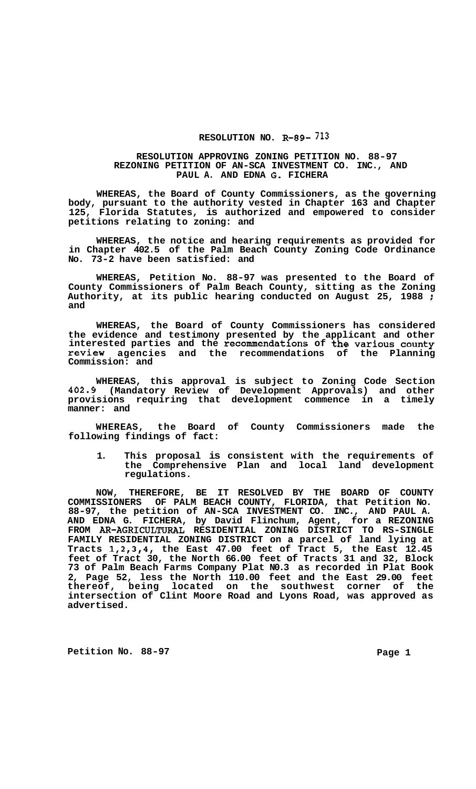## **RESOLUTION NO. R-89- 713**

## **RESOLUTION APPROVING ZONING PETITION NO. 88-97 REZONING PETITION OF AN-SCA INVESTMENT CO. INC., AND PAUL A. AND EDNA G. FICHERA**

**WHEREAS, the Board of County Commissioners, as the governing body, pursuant to the authority vested in Chapter 163 and Chapter 125, Florida Statutes, is authorized and empowered to consider petitions relating to zoning: and** 

**WHEREAS, the notice and hearing requirements as provided for in Chapter 402.5 of the Palm Beach County Zoning Code Ordinance No. 73-2 have been satisfied: and** 

**WHEREAS, Petition No. 88-97 was presented to the Board of County Commissioners of Palm Beach County, sitting as the Zoning Authority, at its public hearing conducted on August 25, 1988** : **and** 

**WHEREAS, the Board of County Commissioners has considered the evidence and testimony presented by the applicant and other interested parties and the recommendations of the various county review agencies and the recommendations of the Planning Commission: and** 

**WHEREAS, this approval is subject to Zoning Code Section 402.9 (Mandatory Review of Development Approvals) and other provisions requiring that development commence in a timely manner: and** 

**WHEREAS, the Board of County Commissioners made the following findings of fact:** 

**1. This proposal is consistent with the requirements of the Comprehensive Plan and local land development regulations.** 

**NOW, THEREFORE, BE IT RESOLVED BY THE BOARD OF COUNTY COMMISSIONERS OF PALM BEACH COUNTY, FLORIDA, that Petition No. 88-97, the petition of AN-SCA INVESTMENT CO. INC., AND PAUL A. AND EDNA G. FICHERA, by David Flinchum, Agent, for a REZONING FAMILY RESIDENTIAL ZONING DISTRICT on a parcel of land lying at Tracts 1,2,3,4, the East 47.00 feet of Tract 5, the East 12.45 feet of Tract 30, the North 66.00 feet of Tracts 31 and 32, Block 73 of Palm Beach Farms Company Plat N0.3 as recorded in Plat Book 2, Page 52, less the North 110.00 feet and the East 29.00 feet thereof, being located on the southwest corner of the intersection of Clint Moore Road and Lyons Road, was approved as advertised. FROM AR-AGRICULTURAL RESIDENTIAL ZONING DISTRICT TO RS-SINGLE** 

Petition No. 88-97 **Page 1**